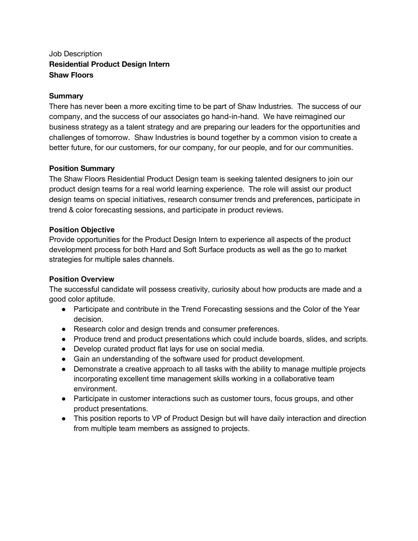# Job Description **Residential Product Design Intern Shaw Floors**

#### **Summary**

There has never been a more exciting time to be part of Shaw Industries. The success of our company, and the success of our associates go hand-in-hand. We have reimagined our business strategy as a talent strategy and are preparing our leaders for the opportunities and challenges of tomorrow. Shaw Industries is bound together by a common vision to create a better future, for our customers, for our company, for our people, and for our communities.

## **Position Summary**

The Shaw Floors Residential Product Design team is seeking talented designers to join our product design teams for a real world learning experience. The role will assist our product design teams on special initiatives, research consumer trends and preferences, participate in trend & color forecasting sessions, and participate in product reviews.

## **Position Objective**

Provide opportunities for the Product Design Intern to experience all aspects of the product development process for both Hard and Soft Surface products as well as the go to market strategies for multiple sales channels.

#### **Position Overview**

The successful candidate will possess creativity, curiosity about how products are made and a good color aptitude.

- Participate and contribute in the Trend Forecasting sessions and the Color of the Year decision.
- Research color and design trends and consumer preferences.
- Produce trend and product presentations which could include boards, slides, and scripts.
- Develop curated product flat lays for use on social media.
- Gain an understanding of the software used for product development.
- Demonstrate a creative approach to all tasks with the ability to manage multiple projects incorporating excellent time management skills working in a collaborative team environment.
- Participate in customer interactions such as customer tours, focus groups, and other product presentations.
- This position reports to VP of Product Design but will have daily interaction and direction from multiple team members as assigned to projects.